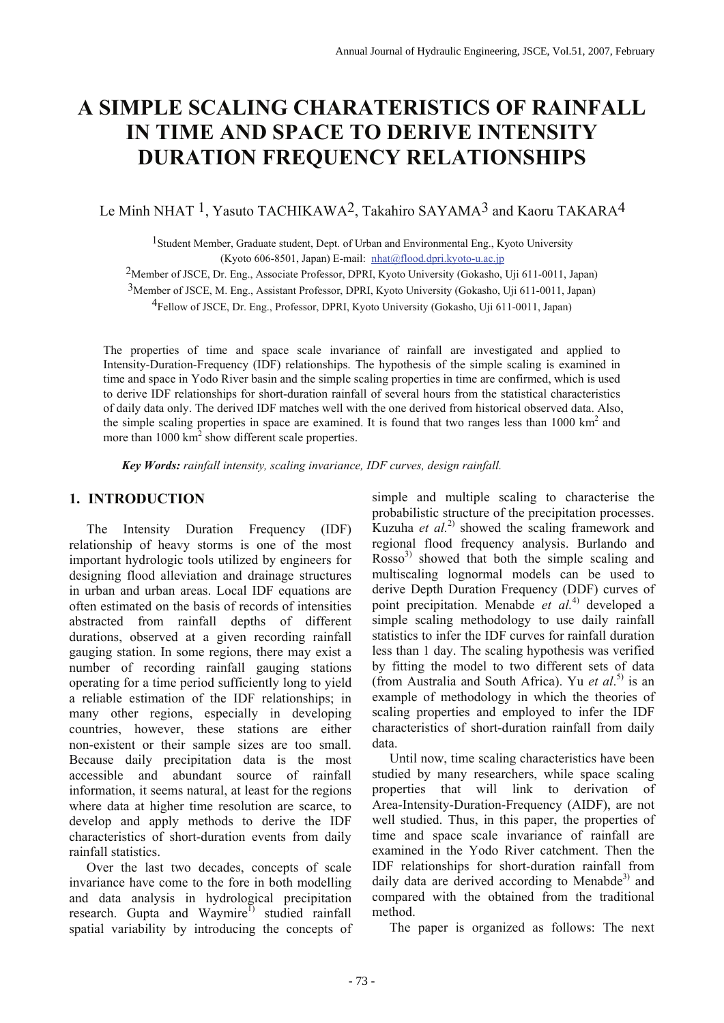# **A SIMPLE SCALING CHARATERISTICS OF RAINFALL IN TIME AND SPACE TO DERIVE INTENSITY DURATION FREQUENCY RELATIONSHIPS**

Le Minh NHAT <sup>1</sup>, Yasuto TACHIKAWA<sup>2</sup>, Takahiro SAYAMA<sup>3</sup> and Kaoru TAKARA<sup>4</sup>

<sup>1</sup> Student Member, Graduate student, Dept. of Urban and Environmental Eng., Kyoto University (Kyoto 606-8501, Japan) E-mail: nhat@flood.dpri.kyoto-u.ac.jp

2Member of JSCE, Dr. Eng., Associate Professor, DPRI, Kyoto University (Gokasho, Uji 611-0011, Japan)

3Member of JSCE, M. Eng., Assistant Professor, DPRI, Kyoto University (Gokasho, Uji 611-0011, Japan)

4Fellow of JSCE, Dr. Eng., Professor, DPRI, Kyoto University (Gokasho, Uji 611-0011, Japan)

The properties of time and space scale invariance of rainfall are investigated and applied to Intensity-Duration-Frequency (IDF) relationships. The hypothesis of the simple scaling is examined in time and space in Yodo River basin and the simple scaling properties in time are confirmed, which is used to derive IDF relationships for short-duration rainfall of several hours from the statistical characteristics of daily data only. The derived IDF matches well with the one derived from historical observed data. Also, the simple scaling properties in space are examined. It is found that two ranges less than  $1000 \text{ km}^2$  and more than  $1000 \text{ km}^2$  show different scale properties.

 *Key Words: rainfall intensity, scaling invariance, IDF curves, design rainfall.* 

## **1. INTRODUCTION**

The Intensity Duration Frequency (IDF) relationship of heavy storms is one of the most important hydrologic tools utilized by engineers for designing flood alleviation and drainage structures in urban and urban areas. Local IDF equations are often estimated on the basis of records of intensities abstracted from rainfall depths of different durations, observed at a given recording rainfall gauging station. In some regions, there may exist a number of recording rainfall gauging stations operating for a time period sufficiently long to yield a reliable estimation of the IDF relationships; in many other regions, especially in developing countries, however, these stations are either non-existent or their sample sizes are too small. Because daily precipitation data is the most accessible and abundant source of rainfall information, it seems natural, at least for the regions where data at higher time resolution are scarce, to develop and apply methods to derive the IDF characteristics of short-duration events from daily rainfall statistics.

Over the last two decades, concepts of scale invariance have come to the fore in both modelling and data analysis in hydrological precipitation research. Gupta and Waymire<sup>1)</sup> studied rainfall spatial variability by introducing the concepts of simple and multiple scaling to characterise the probabilistic structure of the precipitation processes. Kuzuha *et al.*2) showed the scaling framework and regional flood frequency analysis. Burlando and  $Rosso<sup>3</sup>$  showed that both the simple scaling and multiscaling lognormal models can be used to derive Depth Duration Frequency (DDF) curves of point precipitation. Menabde *et al.*4) developed a simple scaling methodology to use daily rainfall statistics to infer the IDF curves for rainfall duration less than 1 day. The scaling hypothesis was verified by fitting the model to two different sets of data (from Australia and South Africa). Yu *et al*. 5) is an example of methodology in which the theories of scaling properties and employed to infer the IDF characteristics of short-duration rainfall from daily data.

Until now, time scaling characteristics have been studied by many researchers, while space scaling properties that will link to derivation of Area-Intensity-Duration-Frequency (AIDF), are not well studied. Thus, in this paper, the properties of time and space scale invariance of rainfall are examined in the Yodo River catchment. Then the IDF relationships for short-duration rainfall from daily data are derived according to Menabde $3$  and compared with the obtained from the traditional method.

The paper is organized as follows: The next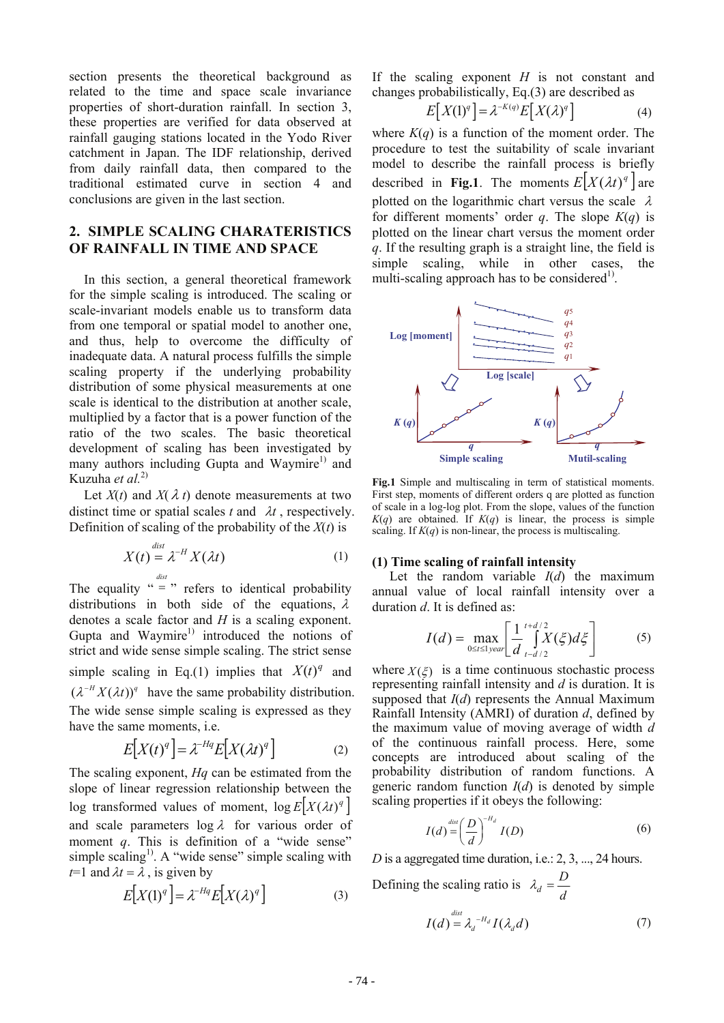section presents the theoretical background as related to the time and space scale invariance properties of short-duration rainfall. In section 3, these properties are verified for data observed at rainfall gauging stations located in the Yodo River catchment in Japan. The IDF relationship, derived from daily rainfall data, then compared to the traditional estimated curve in section 4 and conclusions are given in the last section.

# **2. SIMPLE SCALING CHARATERISTICS OF RAINFALL IN TIME AND SPACE**

In this section, a general theoretical framework for the simple scaling is introduced. The scaling or scale-invariant models enable us to transform data from one temporal or spatial model to another one, and thus, help to overcome the difficulty of inadequate data. A natural process fulfills the simple scaling property if the underlying probability distribution of some physical measurements at one scale is identical to the distribution at another scale, multiplied by a factor that is a power function of the ratio of the two scales. The basic theoretical development of scaling has been investigated by many authors including Gupta and Waymire<sup>1)</sup> and Kuzuha *et al.*2)

Let  $X(t)$  and  $X(\lambda t)$  denote measurements at two distinct time or spatial scales  $t$  and  $\lambda t$ , respectively. Definition of scaling of the probability of the *X*(*t*) is

*dist*

$$
X(t) = \lambda^{-H} X(\lambda t)
$$
 (1)

The equality " $=$  " refers to identical probability distributions in both side of the equations,  $\lambda$ denotes a scale factor and *H* is a scaling exponent. Gupta and Waymire<sup>1)</sup> introduced the notions of strict and wide sense simple scaling. The strict sense simple scaling in Eq.(1) implies that  $X(t)^q$  and  $(\lambda^{-H} X (\lambda t))^q$  have the same probability distribution. The wide sense simple scaling is expressed as they have the same moments, i.e.

$$
E[X(t)^q] = \lambda^{-Hq} E[X(\lambda t)^q]
$$
 (2)

The scaling exponent, *Hq* can be estimated from the slope of linear regression relationship between the  $\log$  transformed values of moment,  $\log E|X(\lambda t)^{q}|$ and scale parameters  $\log \lambda$  for various order of moment *q*. This is definition of a "wide sense" simple scaling<sup>1)</sup>. A "wide sense" simple scaling with *t*=1 and  $\lambda t = \lambda$ , is given by

$$
E[X(1)^q] = \lambda^{-Hq} E[X(\lambda)^q]
$$
 (3)

If the scaling exponent *H* is not constant and changes probabilistically, Eq.(3) are described as

$$
E[X(1)^{q}] = \lambda^{-K(q)} E[X(\lambda)^{q}] \tag{4}
$$

where  $K(q)$  is a function of the moment order. The procedure to test the suitability of scale invariant model to describe the rainfall process is briefly described in **Fig.1**. The moments  $E[X(\lambda t)^q]$  are plotted on the logarithmic chart versus the scale  $\lambda$ for different moments' order *q*. The slope  $K(q)$  is plotted on the linear chart versus the moment order *q*. If the resulting graph is a straight line, the field is simple scaling, while in other cases, the multi-scaling approach has to be considered<sup>1)</sup>.



**Fig.1** Simple and multiscaling in term of statistical moments. First step, moments of different orders q are plotted as function of scale in a log-log plot. From the slope, values of the function  $K(q)$  are obtained. If  $K(q)$  is linear, the process is simple scaling. If  $K(q)$  is non-linear, the process is multiscaling.

#### **(1) Time scaling of rainfall intensity**

Let the random variable *I*(*d*) the maximum annual value of local rainfall intensity over a duration *d*. It is defined as:

$$
I(d) = \max_{0 \le t \le 1} \left[ \frac{1}{d} \int_{t-d/2}^{t+d/2} X(\xi) d\xi \right]
$$
 (5)

where  $X(\xi)$  is a time continuous stochastic process representing rainfall intensity and *d* is duration. It is supposed that *I*(*d*) represents the Annual Maximum Rainfall Intensity (AMRI) of duration *d*, defined by the maximum value of moving average of width *d*  of the continuous rainfall process. Here, some concepts are introduced about scaling of the probability distribution of random functions. A generic random function  $I(d)$  is denoted by simple scaling properties if it obeys the following:

$$
I(d) = \left(\frac{D}{d}\right)^{-H_d} I(D) \tag{6}
$$

*D* is a aggregated time duration, i.e.: 2, 3, ..., 24 hours.

Defining the scaling ratio is  $\lambda_d = \frac{D}{d}$  $I(d) = \lambda_d^{-H_d} I(\lambda_d d)$  (7)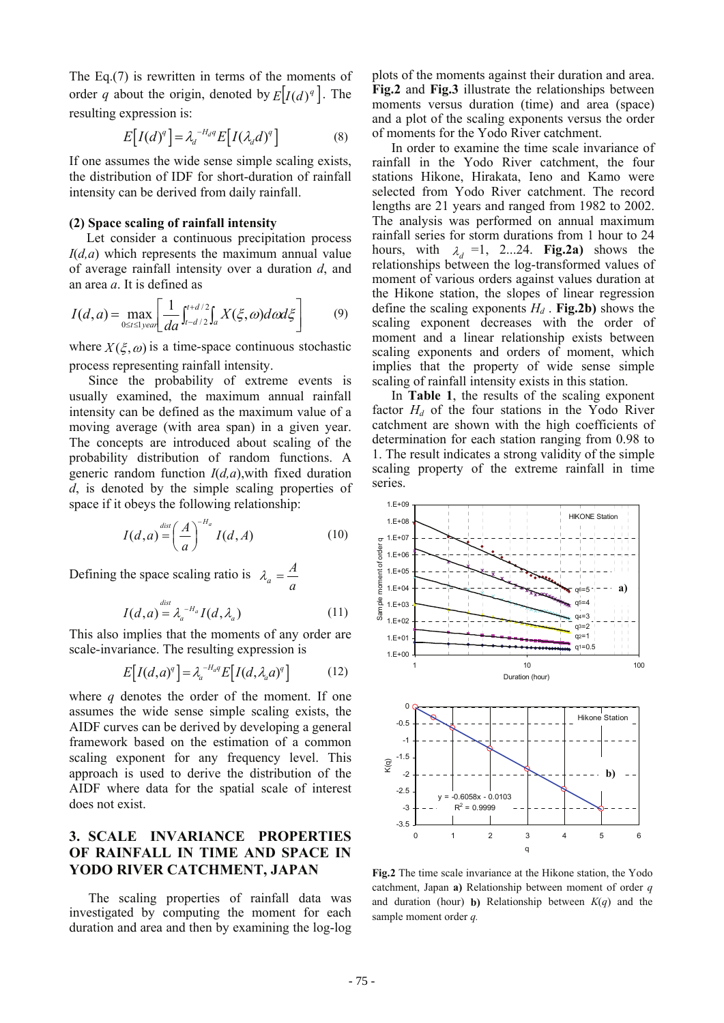The Eq.(7) is rewritten in terms of the moments of order *q* about the origin, denoted by  $E[I(d)]^q$ . The resulting expression is:

$$
E[I(d)^{q}] = \lambda_d^{-H_d q} E[I(\lambda_d d)^{q}] \qquad (8)
$$

If one assumes the wide sense simple scaling exists, the distribution of IDF for short-duration of rainfall intensity can be derived from daily rainfall.

#### **(2) Space scaling of rainfall intensity**

Let consider a continuous precipitation process *I*(*d,a*) which represents the maximum annual value of average rainfall intensity over a duration *d*, and an area *a*. It is defined as

$$
I(d,a) = \max_{0 \le t \le 1} \left[ \frac{1}{da} \int_{t-d/2}^{t+d/2} \int_{a} X(\xi, \omega) d\omega d\xi \right]
$$
(9)

where  $X(\xi, \omega)$  is a time-space continuous stochastic process representing rainfall intensity.

Since the probability of extreme events is usually examined, the maximum annual rainfall intensity can be defined as the maximum value of a moving average (with area span) in a given year. The concepts are introduced about scaling of the probability distribution of random functions. A generic random function *I*(*d,a*),with fixed duration *d*, is denoted by the simple scaling properties of space if it obeys the following relationship:

$$
I(d,a) = \left(\frac{A}{a}\right)^{-H_a} I(d,A)
$$
 (10)

Defining the space scaling ratio is  $\lambda_a = \frac{A}{a}$ 

$$
I(d,a) = \lambda_a^{-H_a} I(d,\lambda_a)
$$
 (11)

This also implies that the moments of any order are scale-invariance. The resulting expression is

$$
E[I(d,a)^{q}] = \lambda_{a}^{-H_{a}q} E[I(d,\lambda_{a}a)^{q}] \qquad (12)
$$

where *q* denotes the order of the moment. If one assumes the wide sense simple scaling exists, the AIDF curves can be derived by developing a general framework based on the estimation of a common scaling exponent for any frequency level. This approach is used to derive the distribution of the AIDF where data for the spatial scale of interest does not exist.

# **3. SCALE INVARIANCE PROPERTIES OF RAINFALL IN TIME AND SPACE IN YODO RIVER CATCHMENT, JAPAN**

The scaling properties of rainfall data was investigated by computing the moment for each duration and area and then by examining the log-log

plots of the moments against their duration and area. **Fig.2** and **Fig.3** illustrate the relationships between moments versus duration (time) and area (space) and a plot of the scaling exponents versus the order of moments for the Yodo River catchment.

In order to examine the time scale invariance of rainfall in the Yodo River catchment, the four stations Hikone, Hirakata, Ieno and Kamo were selected from Yodo River catchment. The record lengths are 21 years and ranged from 1982 to 2002. The analysis was performed on annual maximum rainfall series for storm durations from 1 hour to 24 hours, with  $\lambda_d = 1$ , 2...24. **Fig.2a**) shows the relationships between the log-transformed values of moment of various orders against values duration at the Hikone station, the slopes of linear regression define the scaling exponents  $H_d$ . **Fig.2b**) shows the scaling exponent decreases with the order of moment and a linear relationship exists between scaling exponents and orders of moment, which implies that the property of wide sense simple scaling of rainfall intensity exists in this station.

In **Table 1**, the results of the scaling exponent factor  $H_d$  of the four stations in the Yodo River catchment are shown with the high coefficients of determination for each station ranging from 0.98 to 1. The result indicates a strong validity of the simple scaling property of the extreme rainfall in time series.



**Fig.2** The time scale invariance at the Hikone station, the Yodo catchment, Japan **a)** Relationship between moment of order *q* and duration (hour) **b)** Relationship between *K*(*q*) and the sample moment order *q.*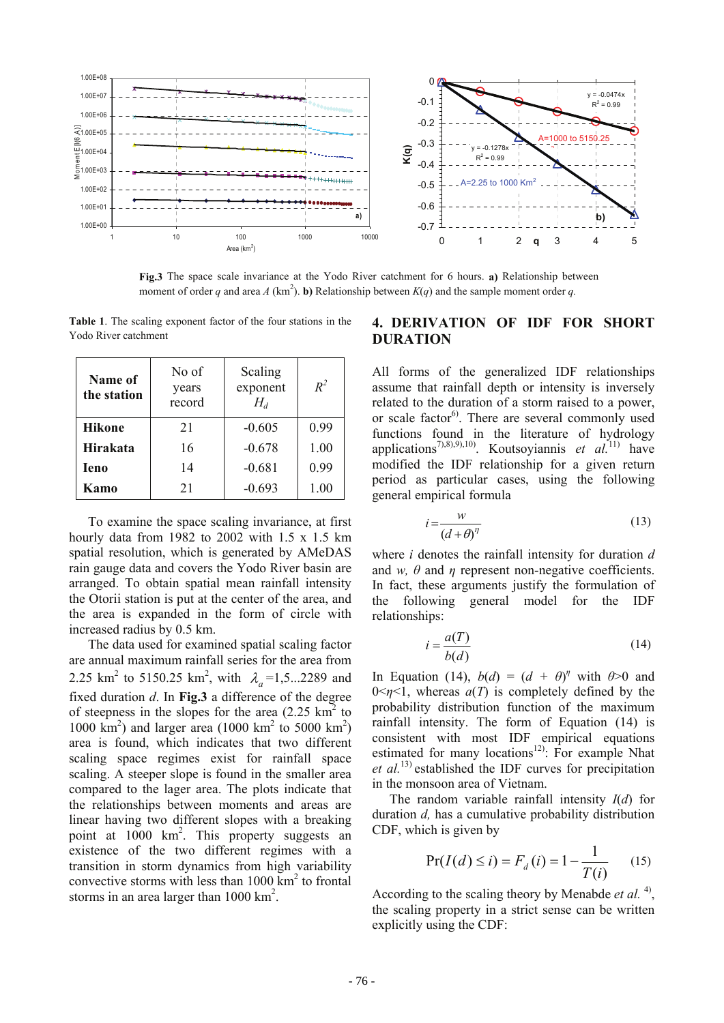

**Fig.3** The space scale invariance at the Yodo River catchment for 6 hours. **a)** Relationship between moment of order *q* and area *A* (km<sup>2</sup>). **b**) Relationship between  $K(q)$  and the sample moment order *q*.

**Table 1**. The scaling exponent factor of the four stations in the Yodo River catchment

| Name of<br>the station | No of<br>years<br>record | Scaling<br>exponent<br>$H_d$ | $R^2$ |
|------------------------|--------------------------|------------------------------|-------|
| <b>Hikone</b>          | 21                       | $-0.605$                     | 0.99  |
| <b>Hirakata</b>        | 16                       | $-0.678$                     | 1.00  |
| Ieno                   | 14                       | $-0.681$                     | 0.99  |
| Kamo                   | 21                       | $-0.693$                     | 1.00  |

To examine the space scaling invariance, at first hourly data from 1982 to 2002 with 1.5 x 1.5 km spatial resolution, which is generated by AMeDAS rain gauge data and covers the Yodo River basin are arranged. To obtain spatial mean rainfall intensity the Otorii station is put at the center of the area, and the area is expanded in the form of circle with increased radius by 0.5 km.

The data used for examined spatial scaling factor are annual maximum rainfall series for the area from 2.25 km<sup>2</sup> to 5150.25 km<sup>2</sup>, with  $\lambda_a = 1, 5...2289$  and fixed duration *d*. In **Fig.3** a difference of the degree of steepness in the slopes for the area  $(2.25 \text{ km}^2)$ 1000  $\text{km}^2$ ) and larger area (1000  $\text{km}^2$  to 5000  $\text{km}^2$ ) area is found, which indicates that two different scaling space regimes exist for rainfall space scaling. A steeper slope is found in the smaller area compared to the lager area. The plots indicate that the relationships between moments and areas are linear having two different slopes with a breaking point at 1000 km<sup>2</sup>. This property suggests an existence of the two different regimes with a transition in storm dynamics from high variability convective storms with less than  $1000 \text{ km}^2$  to frontal storms in an area larger than  $1000 \text{ km}^2$ .

# **4. DERIVATION OF IDF FOR SHORT DURATION**

All forms of the generalized IDF relationships assume that rainfall depth or intensity is inversely related to the duration of a storm raised to a power, or scale factor<sup>6)</sup>. There are several commonly used functions found in the literature of hydrology applications7),8),9),10). Koutsoyiannis *et al.*11) have modified the IDF relationship for a given return period as particular cases, using the following general empirical formula

$$
i = \frac{w}{(d + \theta)^{\eta}}
$$
 (13)

where *i* denotes the rainfall intensity for duration *d*  and *w*,  $\theta$  and  $\eta$  represent non-negative coefficients. In fact, these arguments justify the formulation of the following general model for the IDF relationships:

$$
i = \frac{a(T)}{b(d)}\tag{14}
$$

In Equation (14),  $b(d) = (d + \theta)^{\eta}$  with  $\theta > 0$  and  $0 \le \eta \le 1$ , whereas  $a(T)$  is completely defined by the probability distribution function of the maximum rainfall intensity. The form of Equation (14) is consistent with most IDF empirical equations estimated for many locations<sup>12)</sup>: For example Nhat *et al.*13) established the IDF curves for precipitation in the monsoon area of Vietnam.

The random variable rainfall intensity *I*(*d*) for duration *d,* has a cumulative probability distribution CDF, which is given by

$$
Pr(I(d) \le i) = F_d(i) = 1 - \frac{1}{T(i)} \tag{15}
$$

According to the scaling theory by Menabde *et al.* <sup>4</sup>, the scaling property in a strict sense can be written explicitly using the CDF: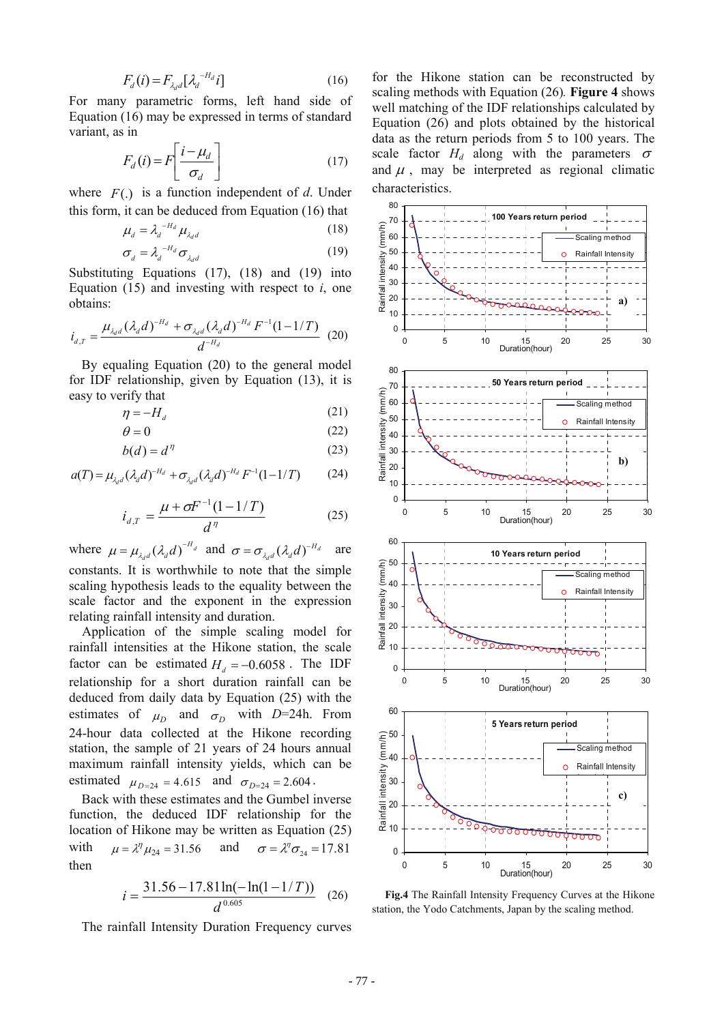$$
F_d(i) = F_{\lambda_d d} \left[ \lambda_d^{-H_d} i \right] \tag{16}
$$

For many parametric forms, left hand side of Equation (16) may be expressed in terms of standard variant, as in

$$
F_d(i) = F\left[\frac{i - \mu_d}{\sigma_d}\right] \tag{17}
$$

where *F*(.) is a function independent of *d*. Under this form, it can be deduced from Equation (16) that

$$
\mu_d = \lambda_d^{-H_d} \mu_{\lambda_d d} \tag{18}
$$
\n
$$
\sigma_d = \lambda_d^{-H_d} \sigma_{\lambda_d d} \tag{19}
$$

Substituting Equations (17), (18) and (19) into Equation (15) and investing with respect to *i*, one obtains:

*d*

$$
i_{d,T} = \frac{\mu_{\lambda_d d} (\lambda_d d)^{-H_d} + \sigma_{\lambda_d d} (\lambda_d d)^{-H_d} F^{-1} (1 - 1/T)}{d^{-H_d}}
$$
(20)

By equaling Equation (20) to the general model for IDF relationship, given by Equation (13), it is easy to verify that

$$
\eta = -H_d \tag{21}
$$

$$
\theta = 0 \tag{22}
$$

$$
b(d) = d^{\eta} \tag{23}
$$

$$
a(T) = \mu_{\lambda_d d} (\lambda_d d)^{-H_d} + \sigma_{\lambda_d d} (\lambda_d d)^{-H_d} F^{-1} (1 - 1/T) \tag{24}
$$

$$
i_{d,T} = \frac{\mu + \sigma F^{-1}(1 - 1/T)}{d^{\eta}}
$$
 (25)

where  $\mu = \mu_{\lambda_d d} (\lambda_d d)^{-H_d}$  $\mu = \mu_{\lambda_d d} (\lambda_d d)^{-H_d}$  and  $\sigma = \sigma_{\lambda_d d} (\lambda_d d)^{-H_d}$  $\sigma = \sigma_{\lambda_d d} (\lambda_d d)^{-H_d}$  are constants. It is worthwhile to note that the simple scaling hypothesis leads to the equality between the scale factor and the exponent in the expression relating rainfall intensity and duration.

Application of the simple scaling model for rainfall intensities at the Hikone station, the scale factor can be estimated  $H_d = -0.6058$ . The IDF relationship for a short duration rainfall can be deduced from daily data by Equation (25) with the estimates of  $\mu_D$  and  $\sigma_D$  with *D*=24h. From 24-hour data collected at the Hikone recording station, the sample of 21 years of 24 hours annual maximum rainfall intensity yields, which can be estimated  $\mu_{D=24} = 4.615$  and  $\sigma_{D=24} = 2.604$ .

Back with these estimates and the Gumbel inverse function, the deduced IDF relationship for the location of Hikone may be written as Equation (25) with  $\mu = \lambda^{\eta} \mu_{24} = 31.56$  and  $\sigma = \lambda^{\eta} \sigma_{24} = 17.81$ then

$$
i = \frac{31.56 - 17.81 \ln(-\ln(1 - 1/T))}{d^{0.605}}
$$
 (26)

The rainfall Intensity Duration Frequency curves

for the Hikone station can be reconstructed by scaling methods with Equation (26)*.* **Figure 4** shows well matching of the IDF relationships calculated by Equation (26) and plots obtained by the historical data as the return periods from 5 to 100 years. The scale factor  $H_d$  along with the parameters  $\sigma$ and  $\mu$ , may be interpreted as regional climatic characteristics.



**Fig.4** The Rainfall Intensity Frequency Curves at the Hikone station, the Yodo Catchments, Japan by the scaling method.